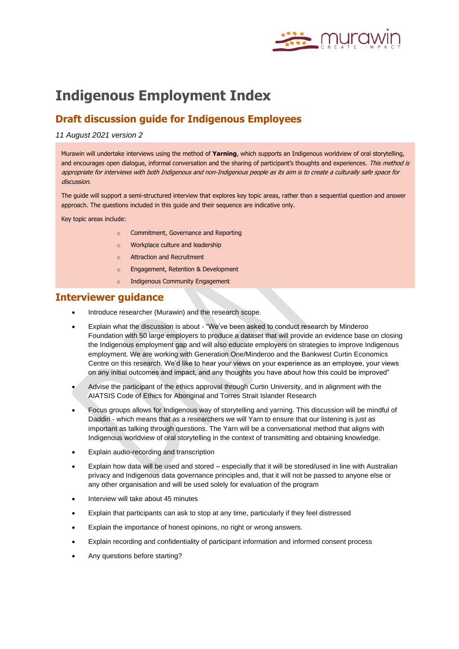

# **Indigenous Employment Index**

### **Draft discussion guide for Indigenous Employees**

#### *11 August 2021 version 2*

Murawin will undertake interviews using the method of **Yarning**, which supports an Indigenous worldview of oral storytelling, and encourages open dialogue, informal conversation and the sharing of participant's thoughts and experiences. This method is appropriate for interviews with both Indigenous and non-Indigenous people as its aim is to create a culturally safe space for discussion.

The guide will support a semi-structured interview that explores key topic areas, rather than a sequential question and answer approach. The questions included in this guide and their sequence are indicative only.

Key topic areas include:

- o Commitment, Governance and Reporting
- o Workplace culture and leadership
- o Attraction and Recruitment
- o Engagement, Retention & Development
- o Indigenous Community Engagement

### **Interviewer guidance**

- Introduce researcher (Murawin) and the research scope.
- Explain what the discussion is about "We've been asked to conduct research by Minderoo Foundation with 50 large employers to produce a dataset that will provide an evidence base on closing the Indigenous employment gap and will also educate employers on strategies to improve Indigenous employment. We are working with Generation One/Minderoo and the Bankwest Curtin Economics Centre on this research. We'd like to hear your views on your experience as an employee, your views on any initial outcomes and impact, and any thoughts you have about how this could be improved"
- Advise the participant of the ethics approval through Curtin University, and in alignment with the AIATSIS Code of Ethics for Aboriginal and Torres Strait Islander Research
- Focus groups allows for Indigenous way of storytelling and yarning. This discussion will be mindful of Daddiri - which means that as a researchers we will Yarn to ensure that our listening is just as important as talking through questions. The Yarn will be a conversational method that aligns with Indigenous worldview of oral storytelling in the context of transmitting and obtaining knowledge.
- Explain audio-recording and transcription
- Explain how data will be used and stored especially that it will be stored/used in line with Australian privacy and Indigenous data governance principles and, that it will not be passed to anyone else or any other organisation and will be used solely for evaluation of the program
- Interview will take about 45 minutes
- Explain that participants can ask to stop at any time, particularly if they feel distressed
- Explain the importance of honest opinions, no right or wrong answers.
- Explain recording and confidentiality of participant information and informed consent process
- Any questions before starting?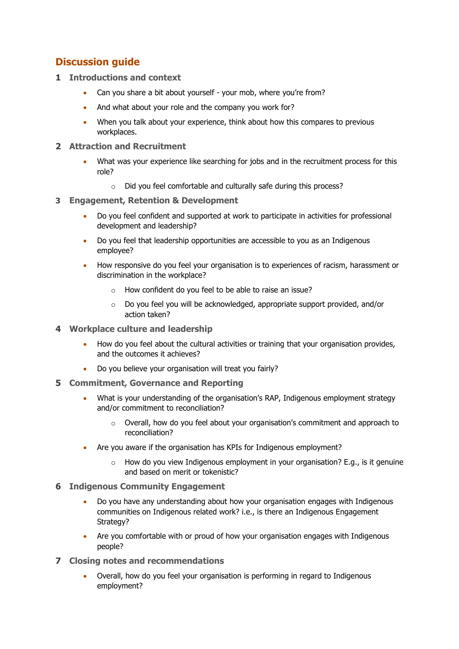## **Discussion guide**

- **1 Introductions and context** 
	- Can you share a bit about yourself your mob, where you're from?
	- And what about your role and the company you work for?
	- When you talk about your experience, think about how this compares to previous workplaces.
- **2 Attraction and Recruitment**
	- What was your experience like searching for jobs and in the recruitment process for this role?
		- o Did you feel comfortable and culturally safe during this process?
- **3 Engagement, Retention & Development** 
	- Do you feel confident and supported at work to participate in activities for professional development and leadership?
	- Do you feel that leadership opportunities are accessible to you as an Indigenous employee?
	- How responsive do you feel your organisation is to experiences of racism, harassment or discrimination in the workplace?
		- o How confident do you feel to be able to raise an issue?
		- $\circ$  Do you feel you will be acknowledged, appropriate support provided, and/or action taken?
- **4 Workplace culture and leadership** 
	- How do you feel about the cultural activities or training that your organisation provides, and the outcomes it achieves?
	- Do you believe your organisation will treat you fairly?
- **5 Commitment, Governance and Reporting**
	- What is your understanding of the organisation's RAP, Indigenous employment strategy and/or commitment to reconciliation?
		- o Overall, how do you feel about your organisation's commitment and approach to reconciliation?
	- Are you aware if the organisation has KPIs for Indigenous employment?
		- $\circ$  How do you view Indigenous employment in your organisation? E.g., is it genuine and based on merit or tokenistic?
- **6 Indigenous Community Engagement**
	- Do you have any understanding about how your organisation engages with Indigenous communities on Indigenous related work? i.e., is there an Indigenous Engagement Strategy?
	- Are you comfortable with or proud of how your organisation engages with Indigenous people?
- **7 Closing notes and recommendations**
	- Overall, how do you feel your organisation is performing in regard to Indigenous employment?